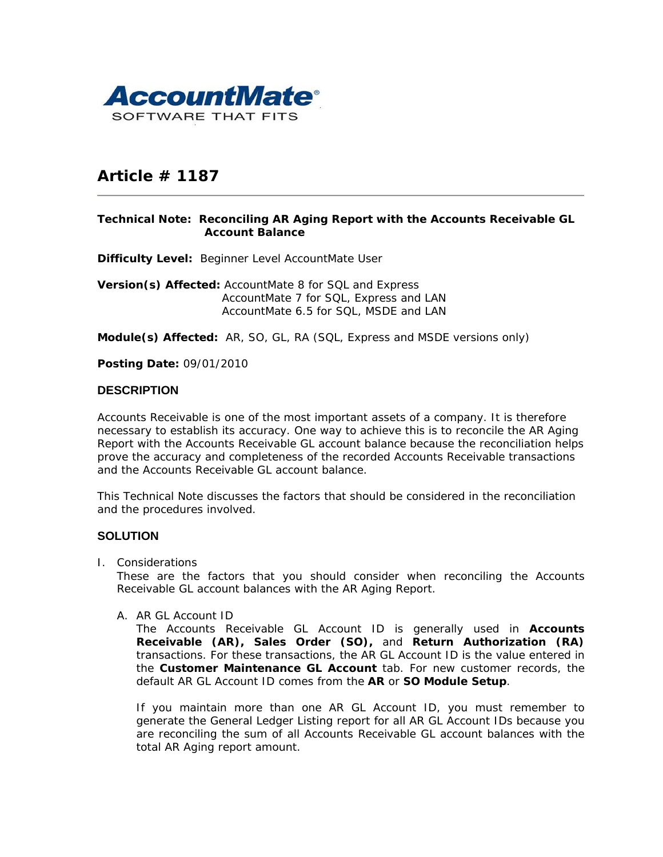

# **Article # 1187**

#### **Technical Note: Reconciling AR Aging Report with the Accounts Receivable GL Account Balance**

**Difficulty Level:** Beginner Level AccountMate User

**Version(s) Affected:** AccountMate 8 for SQL and Express AccountMate 7 for SQL, Express and LAN AccountMate 6.5 for SQL, MSDE and LAN

**Module(s) Affected:** AR, SO, GL, RA (SQL, Express and MSDE versions only)

**Posting Date:** 09/01/2010

## **DESCRIPTION**

Accounts Receivable is one of the most important assets of a company. It is therefore necessary to establish its accuracy. One way to achieve this is to reconcile the AR Aging Report with the Accounts Receivable GL account balance because the reconciliation helps prove the accuracy and completeness of the recorded Accounts Receivable transactions and the Accounts Receivable GL account balance.

This Technical Note discusses the factors that should be considered in the reconciliation and the procedures involved.

# **SOLUTION**

I. Considerations

These are the factors that you should consider when reconciling the Accounts Receivable GL account balances with the AR Aging Report.

*A. AR GL Account ID* 

The Accounts Receivable GL Account ID is generally used in **Accounts Receivable (AR), Sales Order (SO),** and **Return Authorization (RA)** transactions. For these transactions, the AR GL Account ID is the value entered in the **Customer Maintenance GL Account** tab. For new customer records, the default AR GL Account ID comes from the **AR** or **SO Module Setup**.

If you maintain more than one AR GL Account ID, you must remember to generate the General Ledger Listing report for all AR GL Account IDs because you are reconciling the sum of all Accounts Receivable GL account balances with the total AR Aging report amount.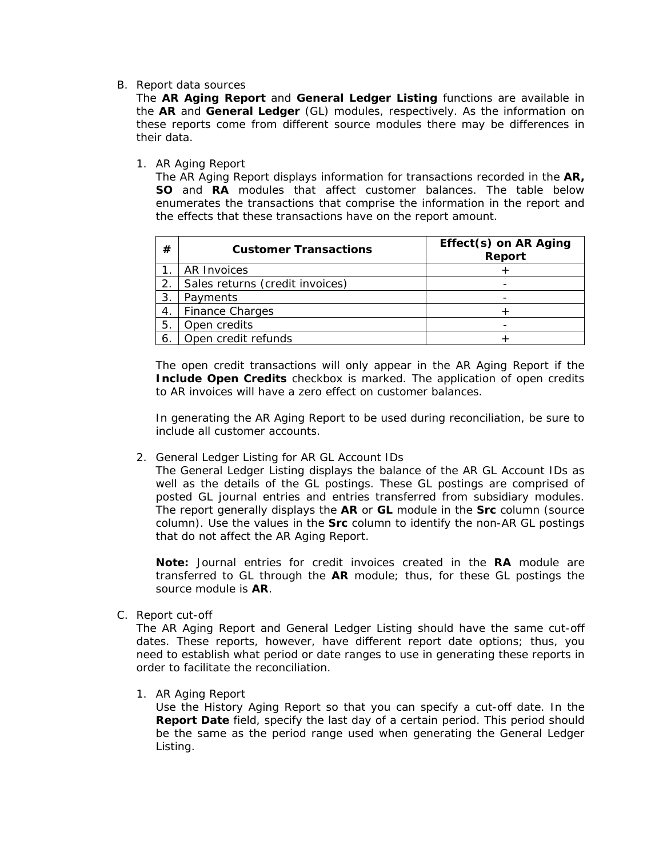#### *B. Report data sources*

The **AR Aging Report** and **General Ledger Listing** functions are available in the **AR** and **General Ledger** (GL) modules, respectively. As the information on these reports come from different source modules there may be differences in their data.

#### 1. AR Aging Report

The AR Aging Report displays information for transactions recorded in the **AR, SO** and **RA** modules that affect customer balances. The table below enumerates the transactions that comprise the information in the report and the effects that these transactions have on the report amount.

| #  | <b>Customer Transactions</b>    | Effect(s) on AR Aging<br>Report |
|----|---------------------------------|---------------------------------|
|    | <b>AR Invoices</b>              |                                 |
| 2. | Sales returns (credit invoices) |                                 |
| 3. | Payments                        |                                 |
| 4. | <b>Finance Charges</b>          |                                 |
| 5. | Open credits                    |                                 |
|    | Open credit refunds             |                                 |

The open credit transactions will only appear in the AR Aging Report if the **Include Open Credits** checkbox is marked. The application of open credits to AR invoices will have a zero effect on customer balances.

In generating the AR Aging Report to be used during reconciliation, be sure to include all customer accounts.

2. General Ledger Listing for AR GL Account IDs

The General Ledger Listing displays the balance of the AR GL Account IDs as well as the details of the GL postings. These GL postings are comprised of posted GL journal entries and entries transferred from subsidiary modules. The report generally displays the **AR** or **GL** module in the **Src** column (source column). Use the values in the **Src** column to identify the non-AR GL postings that do not affect the AR Aging Report.

*Note: Journal entries for credit invoices created in the RA module are transferred to GL through the AR module; thus, for these GL postings the source module is AR.* 

*C. Report cut-off* 

The AR Aging Report and General Ledger Listing should have the same cut-off dates. These reports, however, have different report date options; thus, you need to establish what period or date ranges to use in generating these reports in order to facilitate the reconciliation.

1. AR Aging Report

Use the History Aging Report so that you can specify a cut-off date. In the **Report Date** field, specify the last day of a certain period. This period should be the same as the period range used when generating the General Ledger Listing.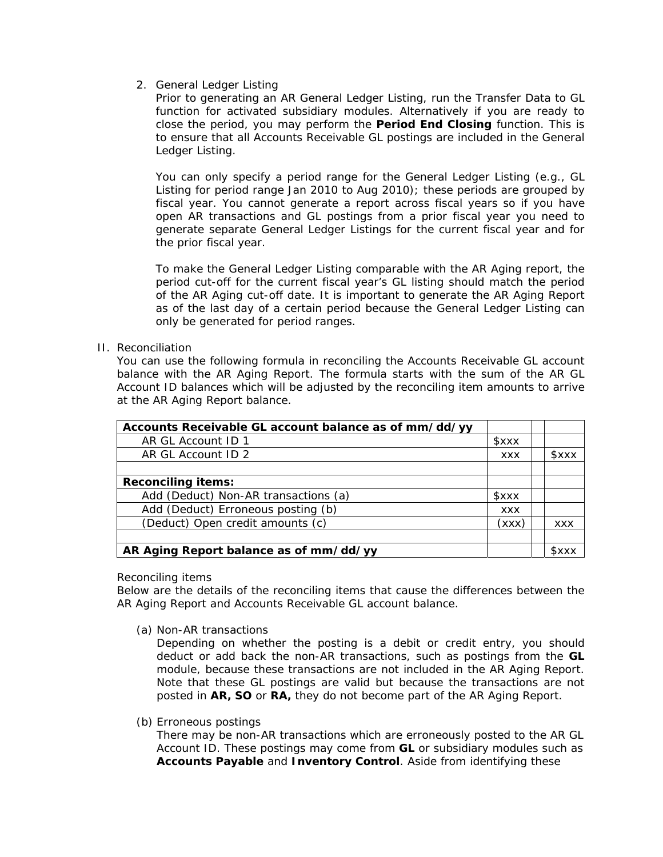# 2. General Ledger Listing

Prior to generating an AR General Ledger Listing, run the Transfer Data to GL function for activated subsidiary modules. Alternatively if you are ready to close the period, you may perform the **Period End Closing** function. This is to ensure that all Accounts Receivable GL postings are included in the General Ledger Listing.

You can only specify a period range for the General Ledger Listing (e.g., GL Listing for period range Jan 2010 to Aug 2010); these periods are grouped by fiscal year. You cannot generate a report across fiscal years so if you have open AR transactions and GL postings from a prior fiscal year you need to generate separate General Ledger Listings for the current fiscal year and for the prior fiscal year.

To make the General Ledger Listing comparable with the AR Aging report, the period cut-off for the current fiscal year's GL listing should match the period of the AR Aging cut-off date. It is important to generate the AR Aging Report as of the last day of a certain period because the General Ledger Listing can only be generated for period ranges.

## II. Reconciliation

You can use the following formula in reconciling the Accounts Receivable GL account balance with the AR Aging Report. The formula starts with the sum of the AR GL Account ID balances which will be adjusted by the reconciling item amounts to arrive at the AR Aging Report balance.

| Accounts Receivable GL account balance as of mm/dd/yy |             |             |
|-------------------------------------------------------|-------------|-------------|
| AR GL Account ID 1                                    | <b>SXXX</b> |             |
| AR GL Account ID 2                                    | <b>XXX</b>  | <b>SXXX</b> |
|                                                       |             |             |
| <b>Reconciling items:</b>                             |             |             |
| Add (Deduct) Non-AR transactions (a)                  | <b>SXXX</b> |             |
| Add (Deduct) Erroneous posting (b)                    | <b>XXX</b>  |             |
| (Deduct) Open credit amounts (c)                      | (xxx)       | <b>XXX</b>  |
|                                                       |             |             |
| AR Aging Report balance as of mm/dd/yy                |             | sxx         |

## *Reconciling items*

Below are the details of the reconciling items that cause the differences between the AR Aging Report and Accounts Receivable GL account balance.

(a) Non-AR transactions

Depending on whether the posting is a debit or credit entry, you should deduct or add back the non-AR transactions, such as postings from the **GL** module, because these transactions are not included in the AR Aging Report. Note that these GL postings are valid but because the transactions are not posted in **AR, SO** or **RA,** they do not become part of the AR Aging Report.

(b) Erroneous postings

There may be non-AR transactions which are erroneously posted to the AR GL Account ID. These postings may come from **GL** or subsidiary modules such as **Accounts Payable** and **Inventory Control**. Aside from identifying these